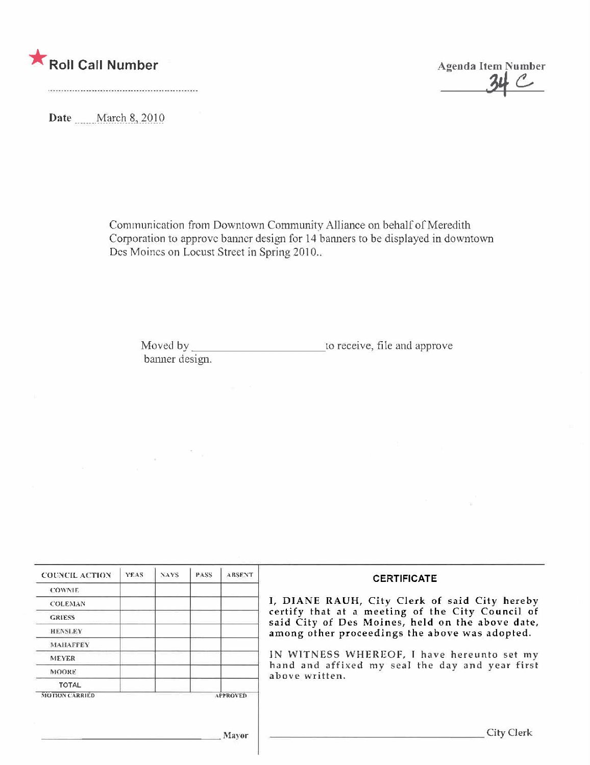

 $\propto$   $^{-1}$   $^{-1}$ 



Date March 8, 2010

Communication from Downtown Community Alliance on behalf of Meredith Corporation to approve banner design for 14 banners to be displayed in downtown Des Moines on Locust Street in Spring 2010...

Moved by\_ to receive, file and approve banner design.

| <b>COUNCIL ACTION</b> | <b>YEAS</b>                                                                                          | NAYS. | <b>PASS</b> | <b>ABSENT</b>   | <b>CERTIFICATE</b>                                                                                              |  |  |
|-----------------------|------------------------------------------------------------------------------------------------------|-------|-------------|-----------------|-----------------------------------------------------------------------------------------------------------------|--|--|
| <b>COWNIE</b>         |                                                                                                      |       |             |                 |                                                                                                                 |  |  |
| <b>COLEMAN</b>        |                                                                                                      |       |             |                 | I, DIANE RAUH, City Clerk of said City hereby                                                                   |  |  |
| <b>GRIESS</b>         | certify that at a meeting of the City Council of<br>said City of Des Moines, held on the above date, |       |             |                 |                                                                                                                 |  |  |
| <b>HENSLEY</b>        |                                                                                                      |       |             |                 | among other proceedings the above was adopted.                                                                  |  |  |
| <b>MAHAFFEY</b>       |                                                                                                      |       |             |                 |                                                                                                                 |  |  |
| <b>MEYER</b>          |                                                                                                      |       |             |                 | IN WITNESS WHEREOF, I have hereunto set my<br>hand and affixed my seal the day and year first<br>above written. |  |  |
| <b>MOORE</b>          |                                                                                                      |       |             |                 |                                                                                                                 |  |  |
| <b>TOTAL</b>          |                                                                                                      |       |             |                 |                                                                                                                 |  |  |
| <b>MOTION CARRIED</b> |                                                                                                      |       |             | <b>APPROVED</b> |                                                                                                                 |  |  |
|                       |                                                                                                      |       |             |                 |                                                                                                                 |  |  |
|                       |                                                                                                      |       |             |                 |                                                                                                                 |  |  |
|                       |                                                                                                      |       |             | <b>Mayor</b>    | City Clerk                                                                                                      |  |  |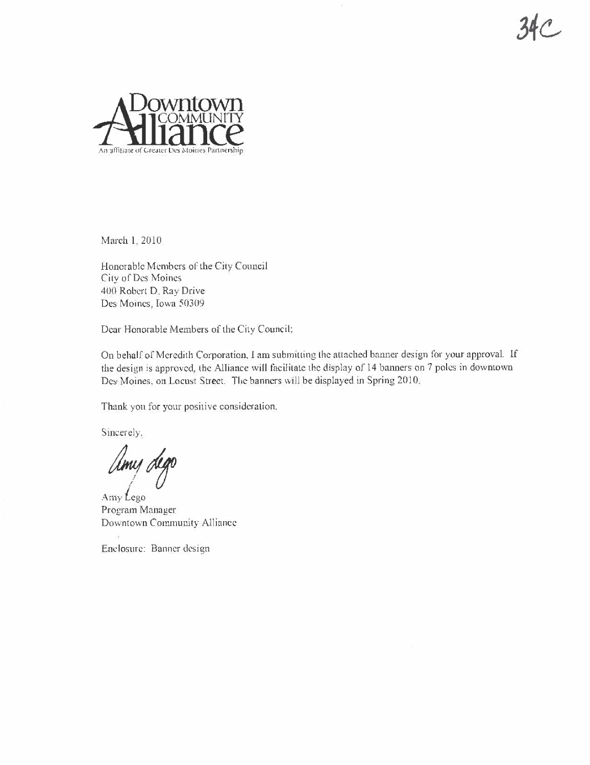$34C$ 



March 1, 2010

Honorable Members of the City Council City of Des Moines 400 Robert D. Ray Drive Des Moines, Iowa 50309

Dear Honorable Members of the City Council:

On behalf of Meredith Corporation, I am submitting the attached banner design for your approval. If the design is approved, the Alliance will facilitate the display of 14 banners on 7 poles in downtown Des Moines, on Locust Street. The banners will be displayed in Spring 2010.

Thank you for your positive consideration.

Sincerely.

Umy dego

Amy Lego Program Manager Downtown Community Alliance

Enclosure: Banner design